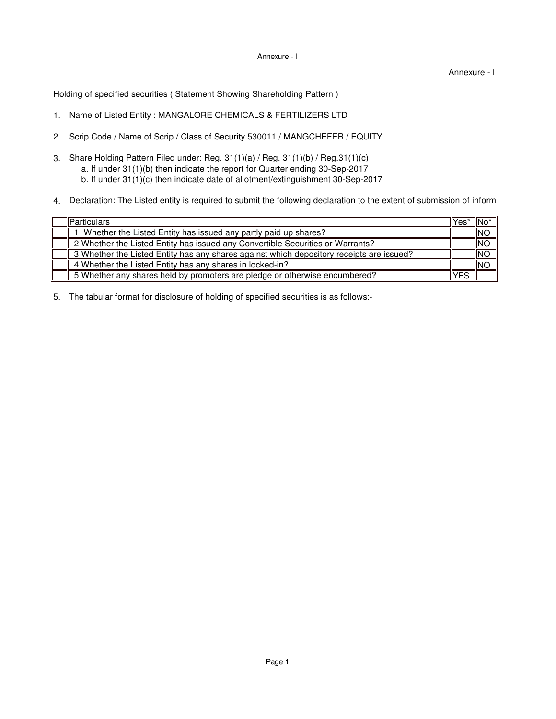## Annexure - I

## Annexure - I

Holding of specified securities ( Statement Showing Shareholding Pattern )

- 1. Name of Listed Entity : MANGALORE CHEMICALS & FERTILIZERS LTD
- 2. Scrip Code / Name of Scrip / Class of Security 530011 / MANGCHEFER / EQUITY
- 3. Share Holding Pattern Filed under: Reg. 31(1)(a) / Reg. 31(1)(b) / Reg.31(1)(c) a. If under 31(1)(b) then indicate the report for Quarter ending 30-Sep-2017 b. If under 31(1)(c) then indicate date of allotment/extinguishment 30-Sep-2017
- 4. Declaration: The Listed entity is required to submit the following declaration to the extent of submission of inform

| <b>IParticulars</b>                                                                      | llYes' | ⊣lNo*      |
|------------------------------------------------------------------------------------------|--------|------------|
| Whether the Listed Entity has issued any partly paid up shares?                          |        | INO        |
| 2 Whether the Listed Entity has issued any Convertible Securities or Warrants?           |        | INO        |
| 3 Whether the Listed Entity has any shares against which depository receipts are issued? |        | <b>INO</b> |
| 4 Whether the Listed Entity has any shares in locked-in?                                 |        | <b>INC</b> |
| 5 Whether any shares held by promoters are pledge or otherwise encumbered?               | YES    |            |

5. The tabular format for disclosure of holding of specified securities is as follows:-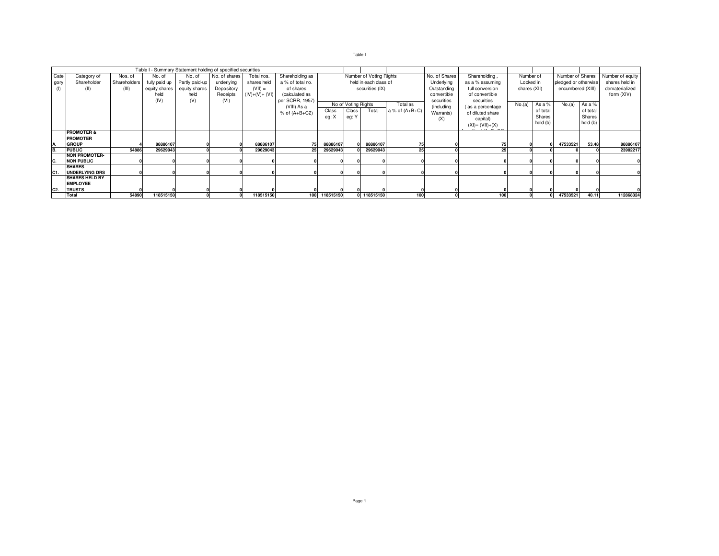|--|--|

|      |                        |              |               | Table I - Summary Statement holding of specified securities |               |                |                   |               |                         |             |                  |               |                                 |           |                      |                  |                |                  |
|------|------------------------|--------------|---------------|-------------------------------------------------------------|---------------|----------------|-------------------|---------------|-------------------------|-------------|------------------|---------------|---------------------------------|-----------|----------------------|------------------|----------------|------------------|
| Cate | Category of            | Nos. of      | No. of        | No. of                                                      | No. of shares | Total nos.     | Shareholding as   |               | Number of Voting Rights |             |                  | No. of Shares | Shareholding,                   | Number of |                      | Number of Shares |                | Number of equity |
| gory | Shareholder            | Shareholders | fully paid up | Partly paid-up                                              | underlying    | shares held    | a % of total no.  |               | held in each class of   |             |                  | Underlying    | as a % assuming<br>Locked in    |           | pledged or otherwise |                  | shares held in |                  |
|      | (II)                   | (III)        | equity shares | equity shares                                               | Depository    | $(VII) =$      | of shares         |               | securities (IX)         |             |                  | Outstanding   | shares (XII)<br>full conversion |           | encumbered (XIII)    |                  | dematerialized |                  |
|      |                        |              | held          | held                                                        | Receipts      | $(IV)+(V)+(V)$ | (calculated as    |               |                         |             |                  | convertible   | of convertible                  |           |                      |                  |                | form (XIV)       |
|      |                        |              | (IV)          | (V)                                                         | (VI)          |                | per SCRR, 1957)   |               |                         |             |                  | securities    | securities                      |           |                      |                  |                |                  |
|      |                        |              |               |                                                             |               |                | (VIII) As a       |               | No of Voting Rights     |             | Total as         | (including    | (as a percentage                | No.(a)    | As a %               | No.(a)           | As a %         |                  |
|      |                        |              |               |                                                             |               |                | $%$ of $(A+B+C2)$ | Class         | Class                   | Total       | a % of $(A+B+C)$ | Warrants)     | of diluted share                |           | of total             |                  | of total       |                  |
|      |                        |              |               |                                                             |               |                |                   | eg: X         | eg: Y                   |             |                  | (X)           | capital)                        |           | Shares               |                  | Shares         |                  |
|      |                        |              |               |                                                             |               |                |                   |               |                         |             |                  |               | $(XI) = (VII)+(X)$              |           | held (b)             |                  | held (b)       |                  |
|      | <b>PROMOTER &amp;</b>  |              |               |                                                             |               |                |                   |               |                         |             |                  |               |                                 |           |                      |                  |                |                  |
|      | <b>PROMOTER</b>        |              |               |                                                             |               |                |                   |               |                         |             |                  |               |                                 |           |                      |                  |                |                  |
|      | <b>GROUP</b>           |              | 88886107      |                                                             |               | 88886107       |                   | 88886107      |                         | 88886107    |                  |               |                                 |           |                      | 47533521         | 53.48          | 88886107         |
| B.   | <b>PUBLIC</b>          | 54886        | 29629043      |                                                             |               | 29629043       | 25                | 29629043      |                         | 29629043    | 25               |               | 25                              |           |                      |                  |                | 23982217         |
|      | <b>NON PROMOTER-</b>   |              |               |                                                             |               |                |                   |               |                         |             |                  |               |                                 |           |                      |                  |                |                  |
| IC.  | <b>NON PUBLIC</b>      |              |               |                                                             |               |                |                   |               |                         |             |                  |               |                                 |           |                      |                  |                |                  |
|      | <b>SHARES</b>          |              |               |                                                             |               |                |                   |               |                         |             |                  |               |                                 |           |                      |                  |                |                  |
| C1.  | UNDERLYING DRS         |              |               |                                                             |               |                |                   |               |                         |             |                  |               |                                 |           |                      |                  |                |                  |
|      | <b>ISHARES HELD BY</b> |              |               |                                                             |               |                |                   |               |                         |             |                  |               |                                 |           |                      |                  |                |                  |
|      | <b>EMPLOYEE</b>        |              |               |                                                             |               |                |                   |               |                         |             |                  |               |                                 |           |                      |                  |                |                  |
| C2   | <b>TRUSTS</b>          |              |               |                                                             |               |                |                   |               |                         |             |                  |               |                                 |           |                      |                  |                |                  |
|      | Total                  | 54890        | 118515150     |                                                             |               | 118515150      |                   | 100 118515150 |                         | 0 118515150 | 100              |               | 100                             |           |                      | 47533521         | 40.11          | 112868324        |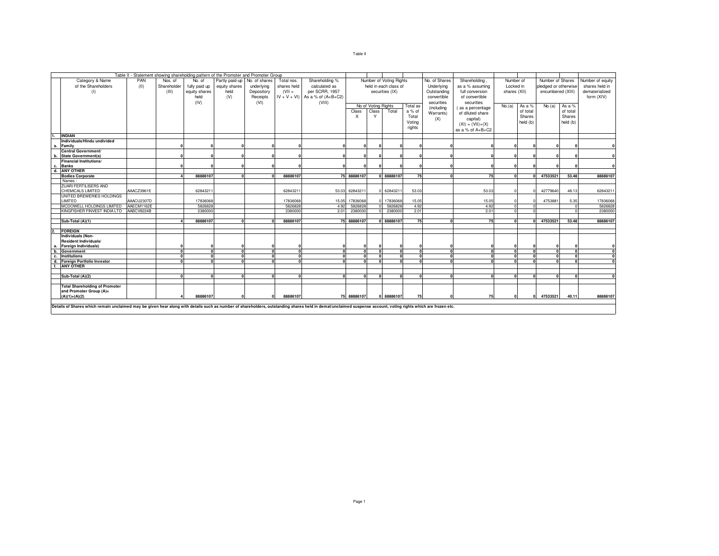| ×<br>×<br>۰,<br>۰. |
|--------------------|
|--------------------|

| Table II - Statement showing shareholding pattern of the Promoter and Promoter Group                                                                                                                           |            |             |               |               |            |                |                                      |             |                         |                       |                                |               |                              |              |                  |                      |                  |                |
|----------------------------------------------------------------------------------------------------------------------------------------------------------------------------------------------------------------|------------|-------------|---------------|---------------|------------|----------------|--------------------------------------|-------------|-------------------------|-----------------------|--------------------------------|---------------|------------------------------|--------------|------------------|----------------------|------------------|----------------|
| PAN<br>Partly paid-up No. of shares<br>Category & Name<br>Total nos.<br>Nos. of<br>No. of                                                                                                                      |            |             |               |               |            | Shareholding % |                                      |             | Number of Voting Rights |                       | No. of Shares                  | Shareholding, | Number of                    |              | Number of Shares |                      | Number of equity |                |
| of the Shareholders                                                                                                                                                                                            | (11)       | Shareholder | fully paid up | equity shares | underlying | shares held    | calculated as                        |             |                         | held in each class of |                                | Underlying    | as a % assuming<br>Locked in |              |                  | pledged or otherwise |                  | shares held in |
| (1)                                                                                                                                                                                                            |            | (III)       | equity shares | held          | Depository | $(VII =$       | per SCRR, 1957                       |             |                         | securities (IX)       | Outstanding<br>full conversion |               |                              | shares (XII) |                  | encumbered (XIII)    |                  | dematerialized |
|                                                                                                                                                                                                                |            |             | held          | (V)           | Receipts   |                | $IV + V + VI$ ) As a % of $(A+B+C2)$ |             |                         |                       | convertible                    |               | of convertible               |              |                  |                      |                  | form (XIV)     |
|                                                                                                                                                                                                                |            |             |               |               |            |                |                                      |             |                         |                       |                                |               |                              |              |                  |                      |                  |                |
|                                                                                                                                                                                                                |            |             | (IV)          |               | (VI)       |                | (VIII)                               |             | No of Voting Rights     | Total as              |                                | securities    | securities                   | No.(a)       | As a %           | No.(a)               | As a %           |                |
|                                                                                                                                                                                                                |            |             |               |               |            |                |                                      | Class       | Class                   | Total                 | a % of                         | (including    | (as a percentage             |              | of total         |                      | of total         |                |
|                                                                                                                                                                                                                |            |             |               |               |            |                |                                      | X           |                         |                       | Total                          | Warrants)     | of diluted share             |              | Shares           |                      | Shares           |                |
|                                                                                                                                                                                                                |            |             |               |               |            |                |                                      |             |                         |                       |                                | (X)           | capital)                     |              |                  |                      |                  |                |
|                                                                                                                                                                                                                |            |             |               |               |            |                |                                      |             |                         |                       | Voting                         |               | $(XI) = (VII)+(X)$           |              | held (b)         |                      | held (b)         |                |
|                                                                                                                                                                                                                |            |             |               |               |            |                |                                      |             |                         |                       | rights                         |               | as a % of A+B+C2             |              |                  |                      |                  |                |
| <b>INDIAN</b>                                                                                                                                                                                                  |            |             |               |               |            |                |                                      |             |                         |                       |                                |               |                              |              |                  |                      |                  |                |
| Individuals/Hindu undivided                                                                                                                                                                                    |            |             |               |               |            |                |                                      |             |                         |                       |                                |               |                              |              |                  |                      |                  |                |
| Family<br>а.                                                                                                                                                                                                   |            |             |               |               |            |                |                                      |             |                         |                       |                                |               |                              |              |                  |                      |                  |                |
| Central Government/                                                                                                                                                                                            |            |             |               |               |            |                |                                      |             |                         |                       |                                |               |                              |              |                  |                      |                  |                |
| <b>State Government(s)</b><br>b.                                                                                                                                                                               |            |             |               |               |            |                |                                      |             |                         |                       |                                |               |                              |              |                  |                      |                  |                |
| <b>Financial Institutions/</b>                                                                                                                                                                                 |            |             |               |               |            |                |                                      |             |                         |                       |                                |               |                              |              |                  |                      |                  |                |
| <b>Banks</b><br>с.                                                                                                                                                                                             |            |             |               |               |            |                |                                      |             |                         |                       |                                |               |                              |              |                  |                      |                  |                |
| d. ANY OTHER                                                                                                                                                                                                   |            |             |               |               |            |                |                                      |             |                         |                       |                                |               |                              |              |                  |                      |                  |                |
| <b>Bodies Corporate</b>                                                                                                                                                                                        |            |             | 88886107      | n             | n          | 88886107       |                                      | 75 88886107 |                         | 0 88886107            | 75                             | $\sqrt{2}$    | 75                           | n            | $\mathbf{r}$     | 47533521             | 53.48            | 88886107       |
| Names:                                                                                                                                                                                                         |            |             |               |               |            |                |                                      |             |                         |                       |                                |               |                              |              |                  |                      |                  |                |
| <b>ZUARI FERTILISERS AND</b>                                                                                                                                                                                   |            |             |               |               |            |                |                                      |             |                         |                       |                                |               |                              |              |                  |                      |                  |                |
| <b>CHEMICALS LIMITED</b>                                                                                                                                                                                       | AAACZ3961E |             | 62843211      |               |            | 6284321        | 53.03                                | 62843211    | $\Omega$                | 6284321               | 53.03                          |               | 53.03                        |              |                  | 42779640             | 48.13            | 62843211       |
| UNITED BREWERIES HOLDINGS                                                                                                                                                                                      |            |             |               |               |            |                |                                      |             |                         |                       |                                |               |                              |              |                  |                      |                  |                |
| LIMITED                                                                                                                                                                                                        | AAACU2307D |             | 17836068      |               |            | 17836068       | 15.05                                | 17836068    | $\Omega$                | 17836068              | 15.05                          |               | 15.05                        |              |                  | 4753881              | 5.35             | 17836068       |
| MCDOWELL HOLDINGS LIMITED                                                                                                                                                                                      | AAECM1162E |             | 5826828       |               |            | 5826828        | 4.92                                 | 5826828     | $\Omega$                | 5826828               | 4.92                           |               | 4.92                         |              |                  |                      |                  | 5826828        |
| KINGFISHER FINVEST INDIA LTD                                                                                                                                                                                   | AABCV9224B |             | 2380000       |               |            | 2380000        | 2.01                                 | 2380000     | $\Omega$                | 2380000               | 2.01                           |               | 2.01                         |              |                  |                      |                  | 2380000        |
|                                                                                                                                                                                                                |            |             |               |               |            |                |                                      |             |                         |                       |                                |               |                              |              |                  |                      |                  |                |
| Sub-Total (A)(1)                                                                                                                                                                                               |            |             | 88886107      |               |            | 88886107       |                                      | 75 88886107 |                         | 0 88886107            | 75                             |               | 75                           |              | $\Omega$         | 47533521             | 53.48            | 88886107       |
|                                                                                                                                                                                                                |            |             |               |               |            |                |                                      |             |                         |                       |                                |               |                              |              |                  |                      |                  |                |
| <b>FOREIGN</b>                                                                                                                                                                                                 |            |             |               |               |            |                |                                      |             |                         |                       |                                |               |                              |              |                  |                      |                  |                |
| Individuals (Non-                                                                                                                                                                                              |            |             |               |               |            |                |                                      |             |                         |                       |                                |               |                              |              |                  |                      |                  |                |
| <b>Resident Individuals/</b>                                                                                                                                                                                   |            |             |               |               |            |                |                                      |             |                         |                       |                                |               |                              |              |                  |                      |                  |                |
| Foreign Individuals)<br>а.                                                                                                                                                                                     |            |             |               |               |            |                |                                      |             | $\Omega$                |                       |                                |               |                              |              |                  |                      |                  |                |
| b.<br>Government                                                                                                                                                                                               |            | $\sqrt{2}$  | $\mathbf{r}$  | $\mathbf{r}$  | $\sqrt{2}$ | $\Omega$       | $\Omega$                             | $\sqrt{2}$  | $\Omega$                | 0                     | $\Omega$                       | $\mathbf{a}$  | $\mathbf{r}$                 | $\sqrt{2}$   | $\mathbf{r}$     | $\mathbf{0}$         | $\sqrt{2}$       | $\mathbf{0}$   |
| c.<br><b>Institutions</b>                                                                                                                                                                                      |            |             |               |               |            | $\Omega$       | $\Omega$                             |             | $\Omega$                | $\Omega$              | n                              | $\mathbf{a}$  | $\sqrt{2}$                   | n            |                  | $\mathbf{r}$         | n                | $\mathbf 0$    |
| d.<br>Foreign Portfolio Investor                                                                                                                                                                               |            |             |               |               |            |                |                                      |             |                         |                       |                                |               |                              |              |                  |                      |                  | $\Omega$       |
| <b>ANY OTHER</b><br>f.                                                                                                                                                                                         |            |             |               |               |            |                |                                      |             |                         |                       |                                |               |                              |              |                  |                      |                  |                |
|                                                                                                                                                                                                                |            |             |               |               |            |                |                                      |             |                         |                       |                                |               |                              |              |                  |                      |                  |                |
| Sub-Total (A)(2)                                                                                                                                                                                               |            |             |               |               | n          |                |                                      | $\sqrt{2}$  | $\Omega$                | $\Omega$              | $\mathbf{r}$                   | $\sqrt{2}$    | $\sqrt{2}$                   | n            |                  | $\mathbf{r}$         |                  |                |
| <b>Total Shareholding of Promoter</b>                                                                                                                                                                          |            |             |               |               |            |                |                                      |             |                         |                       |                                |               |                              |              |                  |                      |                  |                |
| and Promoter Group (A)=                                                                                                                                                                                        |            |             |               |               |            |                |                                      |             |                         |                       |                                |               |                              |              |                  |                      |                  |                |
| $(A)(1)+(A)(2)$                                                                                                                                                                                                |            |             | 88886107      |               | U          | 88886107       |                                      | 75 88886107 |                         | 0 88886107            | 75                             |               | 75                           |              |                  | 47533521             | 40.11            | 88886107       |
|                                                                                                                                                                                                                |            |             |               |               |            |                |                                      |             |                         |                       |                                |               |                              |              |                  |                      |                  |                |
| Details of Shares which remain unclaimed may be given hear along with details such as number of shareholders, outstanding shares held in demat/unclaimed suspense account, voting rights which are frozen etc. |            |             |               |               |            |                |                                      |             |                         |                       |                                |               |                              |              |                  |                      |                  |                |
|                                                                                                                                                                                                                |            |             |               |               |            |                |                                      |             |                         |                       |                                |               |                              |              |                  |                      |                  |                |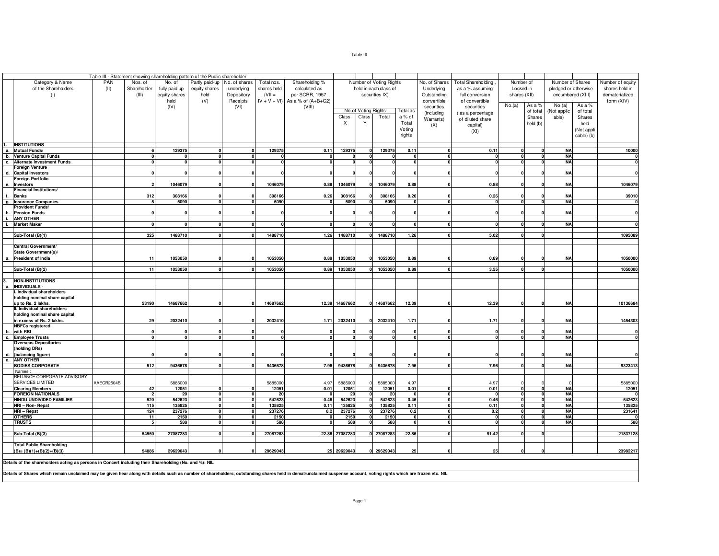|                                                                                                        |                                                                                    |                         |                | Table III - Statement showing shareholding pattern of the Public shareholder |               |             |                                      |                |                     |                         |                                          |               |                           |              |          |                        |            |                  |
|--------------------------------------------------------------------------------------------------------|------------------------------------------------------------------------------------|-------------------------|----------------|------------------------------------------------------------------------------|---------------|-------------|--------------------------------------|----------------|---------------------|-------------------------|------------------------------------------|---------------|---------------------------|--------------|----------|------------------------|------------|------------------|
| Category & Name                                                                                        | PAN                                                                                | Nos. of                 | No. of         | Partly paid-up                                                               | No. of shares | Total nos.  | Shareholding %                       |                |                     | Number of Voting Rights |                                          | No. of Shares | <b>Total Shareholding</b> | Number of    |          | Number of Shares       |            | Number of equity |
| of the Shareholders                                                                                    | (II)<br>Shareholder<br>fully paid up<br>equity shares<br>underlying<br>shares held |                         |                |                                                                              |               |             | calculated as                        |                |                     | held in each class of   |                                          | Underlying    | as a % assuming           | Locked in    |          | pledged or otherwise   |            | shares held in   |
| (1)                                                                                                    |                                                                                    | (III)                   | equity shares  | held                                                                         | Depository    | $(VII =$    | per SCRR, 1957                       |                |                     | securities IX)          |                                          | Outstanding   | full conversion           | shares (XII) |          | encumbered (XIII)      |            | dematerialized   |
|                                                                                                        |                                                                                    |                         | held           | (V)                                                                          | Receipts      |             | $IV + V + VI$ ) As a % of $(A+B+C2)$ |                |                     |                         |                                          | convertible   | of convertible            |              |          |                        |            | form (XIV)       |
|                                                                                                        |                                                                                    |                         | (IV)           |                                                                              | (VI)          |             | (VIII)                               |                |                     |                         |                                          | securities    | securities                | No.(a)       | As a %   | No.(a)                 | As a %     |                  |
|                                                                                                        |                                                                                    |                         |                |                                                                              |               |             |                                      |                | No of Voting Rights |                         | <b>Total</b> as                          | (including    | (as a percentage          |              | of total | (Not applic            | of total   |                  |
|                                                                                                        |                                                                                    |                         |                |                                                                              |               |             |                                      | Class          | Class               | Total                   | a% of                                    | Warrants)     | of diluted share          |              | Shares   | able)                  | Shares     |                  |
|                                                                                                        |                                                                                    |                         |                |                                                                              |               |             |                                      | $\times$       | Y                   |                         | Total                                    | (X)           | capital)                  |              | held (b) |                        | held       |                  |
|                                                                                                        |                                                                                    |                         |                |                                                                              |               |             |                                      |                |                     |                         | Voting                                   |               | (XI)                      |              |          |                        | (Not appli |                  |
|                                                                                                        |                                                                                    |                         |                |                                                                              |               |             |                                      |                |                     |                         | rights                                   |               |                           |              |          |                        | cable) (b) |                  |
| <b>INSTITUTIONS</b>                                                                                    |                                                                                    |                         |                |                                                                              |               |             |                                      |                |                     |                         |                                          |               |                           |              |          |                        |            |                  |
| <b>Mutual Funds/</b><br>а.                                                                             |                                                                                    |                         | 129375         |                                                                              |               | 129375      | 0.11                                 | 129375         |                     | 129375                  | 0.11                                     |               | 0.11                      |              |          | <b>NA</b>              |            | 10000            |
| <b>Venture Capital Funds</b><br>b.                                                                     |                                                                                    |                         |                |                                                                              |               |             | $\mathbf{0}$                         |                |                     |                         | 0                                        |               |                           |              |          | <b>NA</b>              |            |                  |
| <b>Alternate Investment Funds</b><br>c.                                                                |                                                                                    |                         |                |                                                                              |               |             | $\Omega$                             | $\Omega$       |                     |                         | $\Omega$                                 |               |                           |              |          | <b>NA</b>              |            |                  |
| Foreign Venture                                                                                        |                                                                                    |                         |                |                                                                              |               |             |                                      |                |                     |                         |                                          |               |                           |              |          |                        |            |                  |
| d.<br><b>Capital Investors</b>                                                                         |                                                                                    |                         |                |                                                                              |               |             |                                      |                |                     |                         |                                          |               |                           |              |          | <b>NA</b>              |            |                  |
| Foreign Portfolio                                                                                      |                                                                                    |                         |                |                                                                              |               |             |                                      |                |                     |                         |                                          |               |                           |              |          |                        |            |                  |
| <b>Investors</b><br>e.                                                                                 |                                                                                    |                         | 1046079        |                                                                              |               | 1046079     | 0.88                                 | 1046079        |                     | 1046079                 | 0.88                                     |               | 0.88                      |              |          | <b>NA</b>              |            | 1046079          |
| Financial Institutions/                                                                                |                                                                                    |                         |                |                                                                              |               | 308166      |                                      |                |                     | 308166                  |                                          |               |                           |              |          | <b>NA</b>              |            |                  |
| <b>Banks</b><br>q.<br><b>Insurance Companies</b>                                                       |                                                                                    | 312<br>-5               | 308166<br>5090 |                                                                              |               | 5090        | 0.26<br>0                            | 308166<br>5090 | $\mathbf 0$         | 5090                    | 0.26<br>$\mathbf{0}$                     | $\sqrt{2}$    | 0.26                      | n            |          | <b>NA</b>              |            | 39010            |
| <b>Provident Funds/</b>                                                                                |                                                                                    |                         |                |                                                                              |               |             |                                      |                |                     |                         |                                          |               |                           |              |          |                        |            |                  |
| <b>Pension Funds</b><br>h.                                                                             |                                                                                    |                         |                |                                                                              |               |             |                                      |                |                     |                         |                                          |               |                           |              |          | <b>NA</b>              |            | O                |
| π.<br><b>ANY OTHER</b>                                                                                 |                                                                                    |                         |                |                                                                              |               |             |                                      |                |                     |                         |                                          |               |                           |              |          |                        |            |                  |
| <b>Market Maker</b><br>i.                                                                              |                                                                                    |                         |                |                                                                              |               |             | $\mathbf{0}$                         | $\Omega$       |                     |                         | $\mathbf{0}$                             |               |                           |              |          | <b>NA</b>              |            |                  |
|                                                                                                        |                                                                                    |                         |                |                                                                              |               |             |                                      |                |                     |                         |                                          |               |                           |              |          |                        |            |                  |
| Sub-Total (B)(1)                                                                                       |                                                                                    | 325                     | 1488710        |                                                                              |               | 1488710     | 1.26                                 | 1488710        |                     | 1488710                 | 1.26                                     |               | 5.02                      |              |          |                        |            | 1095089          |
|                                                                                                        |                                                                                    |                         |                |                                                                              |               |             |                                      |                |                     |                         |                                          |               |                           |              |          |                        |            |                  |
| Central Government/                                                                                    |                                                                                    |                         |                |                                                                              |               |             |                                      |                |                     |                         |                                          |               |                           |              |          |                        |            |                  |
| State Government(s)/                                                                                   |                                                                                    | 11                      |                |                                                                              |               |             |                                      |                |                     |                         |                                          |               |                           |              |          | <b>NA</b>              |            |                  |
| President of India                                                                                     |                                                                                    |                         | 1053050        |                                                                              |               | 1053050     | 0.89                                 | 1053050        |                     | 1053050                 | 0.89                                     |               | 0.89                      |              |          |                        |            | 1050000          |
| Sub-Total (B)(2)                                                                                       |                                                                                    | 11                      | 1053050        |                                                                              |               | 1053050     | 0.89                                 | 1053050        |                     | 1053050                 | 0.89                                     |               | 3.55                      |              |          |                        |            | 1050000          |
|                                                                                                        |                                                                                    |                         |                |                                                                              |               |             |                                      |                |                     |                         |                                          |               |                           |              |          |                        |            |                  |
| <b>NON-INSTITUTIONS</b>                                                                                |                                                                                    |                         |                |                                                                              |               |             |                                      |                |                     |                         |                                          |               |                           |              |          |                        |            |                  |
| <b>INDIVIDUALS -</b><br>а.                                                                             |                                                                                    |                         |                |                                                                              |               |             |                                      |                |                     |                         |                                          |               |                           |              |          |                        |            |                  |
| Individual shareholders                                                                                |                                                                                    |                         |                |                                                                              |               |             |                                      |                |                     |                         |                                          |               |                           |              |          |                        |            |                  |
| holding nominal share capital                                                                          |                                                                                    |                         |                |                                                                              |               |             |                                      |                |                     |                         |                                          |               |                           |              |          |                        |            |                  |
| up to Rs. 2 lakhs.                                                                                     |                                                                                    | 53190                   | 14687662       |                                                                              |               | 14687662    | 12.39                                | 14687662       | <b>n</b>            | 14687662                | 12.39                                    |               | 12.39                     |              |          | <b>NA</b>              |            | 10136684         |
| II. Individual shareholders<br>holding nominal share capital                                           |                                                                                    |                         |                |                                                                              |               |             |                                      |                |                     |                         |                                          |               |                           |              |          |                        |            |                  |
| in excess of Rs. 2 lakhs                                                                               |                                                                                    | 29                      | 2032410        |                                                                              |               | 2032410     | 1.71                                 | 2032410        |                     | 2032410                 | 1.71                                     |               | 1.71                      |              |          | <b>NA</b>              |            | 1454303          |
| <b>NBFCs registered</b>                                                                                |                                                                                    |                         |                |                                                                              |               |             |                                      |                |                     |                         |                                          |               |                           |              |          |                        |            |                  |
| with RBI<br>b.                                                                                         |                                                                                    |                         |                |                                                                              |               |             |                                      |                |                     |                         |                                          |               |                           |              |          | <b>NA</b>              |            | $\mathbf{0}$     |
| <b>Employee Trusts</b><br>C.                                                                           |                                                                                    |                         |                |                                                                              |               |             | 0                                    | n              | n                   |                         | $\mathbf{0}$                             |               |                           |              |          | <b>NA</b>              |            |                  |
| <b>Overseas Depositories</b>                                                                           |                                                                                    |                         |                |                                                                              |               |             |                                      |                |                     |                         |                                          |               |                           |              |          |                        |            |                  |
| holding DRs)                                                                                           |                                                                                    |                         |                |                                                                              |               |             |                                      |                |                     |                         |                                          |               |                           |              |          |                        |            |                  |
| (balancing figure)<br>d.                                                                               |                                                                                    |                         |                |                                                                              |               |             |                                      |                |                     |                         |                                          |               |                           |              |          | <b>NA</b>              |            |                  |
| е.<br><b>ANY OTHER</b>                                                                                 |                                                                                    | 512                     |                |                                                                              | n             | 9436678     | 7.96                                 | 9436678        | <b>n</b>            | 9436678                 |                                          |               | 7.96                      |              |          | <b>NA</b>              |            | 9323413          |
| <b>BODIES CORPORATE</b><br>Names :                                                                     |                                                                                    |                         | 9436678        |                                                                              |               |             |                                      |                |                     |                         | 7.96                                     |               |                           |              |          |                        |            |                  |
| RELIANCE CORPORATE ADVISORY                                                                            |                                                                                    |                         |                |                                                                              |               |             |                                      |                |                     |                         |                                          |               |                           |              |          |                        |            |                  |
| <b>SERVICES LIMITED</b>                                                                                | AAECR2504B                                                                         |                         | 588500         |                                                                              |               | 5885000     | 4.97                                 | 5885000        |                     | 5885000                 | 4.97                                     |               | 4.97                      |              |          |                        |            | 5885000          |
| <b>Clearing Members</b>                                                                                |                                                                                    | 42                      | 12051          | $\Omega$                                                                     | $\Omega$      | 12051       | 0.01                                 | 12051          | $\mathbf{0}$        | 12051                   | 0.01                                     |               | 0.01                      | $\Omega$     |          | <b>NA</b>              |            | 12051            |
| FOREIGN NATIONALS                                                                                      |                                                                                    | $\overline{\mathbf{2}}$ | 20             | $\Omega$                                                                     | $\Omega$      | 20          | $\mathbf{0}$                         | 20             |                     | 20                      | 0                                        |               |                           |              |          | <b>NA</b>              |            |                  |
| HINDU UNDIVIDED FAMILIES                                                                               |                                                                                    | 520                     | 542623         | $\Omega$                                                                     |               | 542623      | 0.46                                 | 542623         |                     | 542623                  | 0.46                                     | $\Omega$      | 0.46                      |              |          | <b>NA</b>              |            | 542623           |
| NRI - Non- Repat                                                                                       |                                                                                    | 115                     | 135825         | $\mathbf{0}$                                                                 |               | 135825      | 0.11                                 | 135825         |                     | 135825                  | 0.11                                     | $\mathbf{0}$  | 0.11                      |              |          | <b>NA</b>              |            | 135825           |
| NRI - Repat                                                                                            |                                                                                    | 124<br>$\overline{11}$  | 237276         | <sub>n</sub><br>$\Omega$                                                     |               | 237276      | 0.2<br>$\overline{0}$                | 237276         |                     | 237276<br>2150          | 0.2                                      | $\Omega$<br>э | 0.2<br>$\mathbf{r}$       |              |          | <b>NA</b><br><b>NA</b> |            | 231641           |
| <b>OTHERS</b><br><b>TRUSTS</b>                                                                         |                                                                                    | -5                      | 2150<br>588    | $\Omega$                                                                     |               | 2150<br>588 | $\mathbf{0}$                         | 2150<br>588    | $\Omega$            | 588                     | $\overline{\phantom{a}}$<br>$\mathbf{0}$ | $\Omega$      |                           |              |          | <b>NA</b>              |            | 588              |
|                                                                                                        |                                                                                    |                         |                |                                                                              |               |             |                                      |                |                     |                         |                                          |               |                           |              |          |                        |            |                  |
| Sub-Total (B)(3)                                                                                       |                                                                                    | 54550                   | 27087283       |                                                                              | n             | 27087283    |                                      | 22.86 27087283 | <b>n</b>            | 27087283                | 22.86                                    |               | 91.42                     |              |          |                        |            | 21837128         |
|                                                                                                        |                                                                                    |                         |                |                                                                              |               |             |                                      |                |                     |                         |                                          |               |                           |              |          |                        |            |                  |
| <b>Total Public Shareholding</b>                                                                       |                                                                                    |                         |                |                                                                              |               |             |                                      |                |                     |                         |                                          |               |                           |              |          |                        |            |                  |
| $(B)=(B)(1)+(B)(2)+(B)(3)$                                                                             |                                                                                    | 54886                   | 2962904        |                                                                              |               | 29629043    |                                      | 25 29629043    |                     | 29629043                | 25                                       |               | 25                        |              |          |                        |            | 23982217         |
| Details of the shareholders acting as persons in Concert including their Shareholding (No. and %): NIL |                                                                                    |                         |                |                                                                              |               |             |                                      |                |                     |                         |                                          |               |                           |              |          |                        |            |                  |
|                                                                                                        |                                                                                    |                         |                |                                                                              |               |             |                                      |                |                     |                         |                                          |               |                           |              |          |                        |            |                  |

Details of Shares which remain unclaimed may be given hear along with details such as number of shareholders, outstanding shares held in demat/unclaimed suspense account, voting rights which are frozen etc. NIL